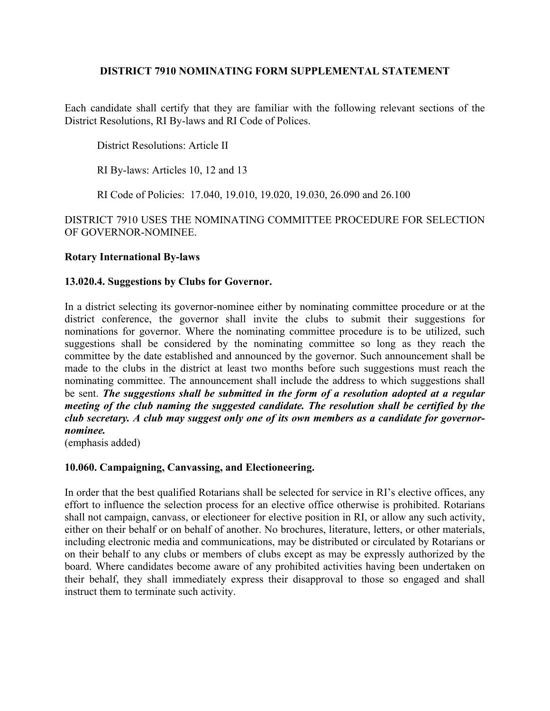# **DISTRICT 7910 NOMINATING FORM SUPPLEMENTAL STATEMENT**

Each candidate shall certify that they are familiar with the following relevant sections of the District Resolutions, RI By-laws and RI Code of Polices.

District Resolutions: Article II

RI By-laws: Articles 10, 12 and 13

RI Code of Policies: 17.040, 19.010, 19.020, 19.030, 26.090 and 26.100

DISTRICT 7910 USES THE NOMINATING COMMITTEE PROCEDURE FOR SELECTION OF GOVERNOR-NOMINEE.

### **Rotary International By-laws**

#### **13.020.4. Suggestions by Clubs for Governor.**

In a district selecting its governor-nominee either by nominating committee procedure or at the district conference, the governor shall invite the clubs to submit their suggestions for nominations for governor. Where the nominating committee procedure is to be utilized, such suggestions shall be considered by the nominating committee so long as they reach the committee by the date established and announced by the governor. Such announcement shall be made to the clubs in the district at least two months before such suggestions must reach the nominating committee. The announcement shall include the address to which suggestions shall be sent. *The suggestions shall be submitted in the form of a resolution adopted at a regular meeting of the club naming the suggested candidate. The resolution shall be certified by the club secretary. A club may suggest only one of its own members as a candidate for governornominee.*

(emphasis added)

### **10.060. Campaigning, Canvassing, and Electioneering.**

In order that the best qualified Rotarians shall be selected for service in RI's elective offices, any effort to influence the selection process for an elective office otherwise is prohibited. Rotarians shall not campaign, canvass, or electioneer for elective position in RI, or allow any such activity, either on their behalf or on behalf of another. No brochures, literature, letters, or other materials, including electronic media and communications, may be distributed or circulated by Rotarians or on their behalf to any clubs or members of clubs except as may be expressly authorized by the board. Where candidates become aware of any prohibited activities having been undertaken on their behalf, they shall immediately express their disapproval to those so engaged and shall instruct them to terminate such activity.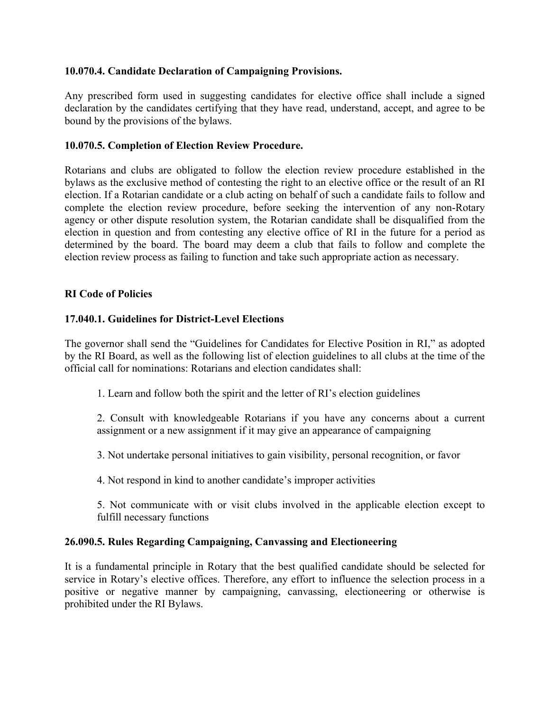# **10.070.4. Candidate Declaration of Campaigning Provisions.**

Any prescribed form used in suggesting candidates for elective office shall include a signed declaration by the candidates certifying that they have read, understand, accept, and agree to be bound by the provisions of the bylaws.

# **10.070.5. Completion of Election Review Procedure.**

Rotarians and clubs are obligated to follow the election review procedure established in the bylaws as the exclusive method of contesting the right to an elective office or the result of an RI election. If a Rotarian candidate or a club acting on behalf of such a candidate fails to follow and complete the election review procedure, before seeking the intervention of any non-Rotary agency or other dispute resolution system, the Rotarian candidate shall be disqualified from the election in question and from contesting any elective office of RI in the future for a period as determined by the board. The board may deem a club that fails to follow and complete the election review process as failing to function and take such appropriate action as necessary.

### **RI Code of Policies**

# **17.040.1. Guidelines for District-Level Elections**

The governor shall send the "Guidelines for Candidates for Elective Position in RI," as adopted by the RI Board, as well as the following list of election guidelines to all clubs at the time of the official call for nominations: Rotarians and election candidates shall:

1. Learn and follow both the spirit and the letter of RI's election guidelines

2. Consult with knowledgeable Rotarians if you have any concerns about a current assignment or a new assignment if it may give an appearance of campaigning

3. Not undertake personal initiatives to gain visibility, personal recognition, or favor

4. Not respond in kind to another candidate's improper activities

5. Not communicate with or visit clubs involved in the applicable election except to fulfill necessary functions

### **26.090.5. Rules Regarding Campaigning, Canvassing and Electioneering**

It is a fundamental principle in Rotary that the best qualified candidate should be selected for service in Rotary's elective offices. Therefore, any effort to influence the selection process in a positive or negative manner by campaigning, canvassing, electioneering or otherwise is prohibited under the RI Bylaws.